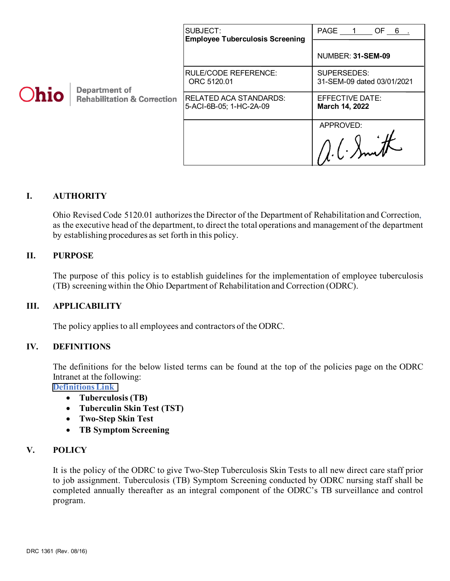|      |                                                                | SUBJECT:<br><b>Employee Tuberculosis Screening</b> | <b>PAGE</b><br>OF $6$ .                   |
|------|----------------------------------------------------------------|----------------------------------------------------|-------------------------------------------|
| Ohio | <b>Department of</b><br><b>Rehabilitation &amp; Correction</b> |                                                    | NUMBER: 31-SEM-09                         |
|      |                                                                | <b>RULE/CODE REFERENCE:</b><br>ORC 5120.01         | SUPERSEDES:<br>31-SEM-09 dated 03/01/2021 |
|      |                                                                | RELATED ACA STANDARDS:<br>5-ACI-6B-05; 1-HC-2A-09  | EFFECTIVE DATE:<br>March 14, 2022         |
|      |                                                                |                                                    | APPROVED:                                 |
|      |                                                                |                                                    |                                           |

# **I. AUTHORITY**

Ohio Revised Code 5120.01 authorizes the Director of the Department of Rehabilitation and Correction, as the executive head of the department, to direct the total operations and management of the department by establishing procedures as set forth in this policy.

#### **II. PURPOSE**

The purpose of this policy is to establish guidelines for the implementation of employee tuberculosis (TB) screening within the Ohio Department of Rehabilitation and Correction (ODRC).

#### **III. APPLICABILITY**

The policy applies to all employees and contractors of the ODRC.

#### **IV. DEFINITIONS**

The definitions for the below listed terms can be found at the top of the policies page on the ODRC Intranet at the following:

**[Definitions Link](http://intra/policies/pagecontent/files/Policy%20Definition%20Spreadsheet%20-%20Intranet%202021.pdf)**

- **Tuberculosis (TB)**
- **Tuberculin Skin Test (TST)**
- **Two-Step Skin Test**
- **TB Symptom Screening**

#### **V. POLICY**

It is the policy of the ODRC to give Two-Step Tuberculosis Skin Tests to all new direct care staff prior to job assignment. Tuberculosis (TB) Symptom Screening conducted by ODRC nursing staff shall be completed annually thereafter as an integral component of the ODRC's TB surveillance and control program.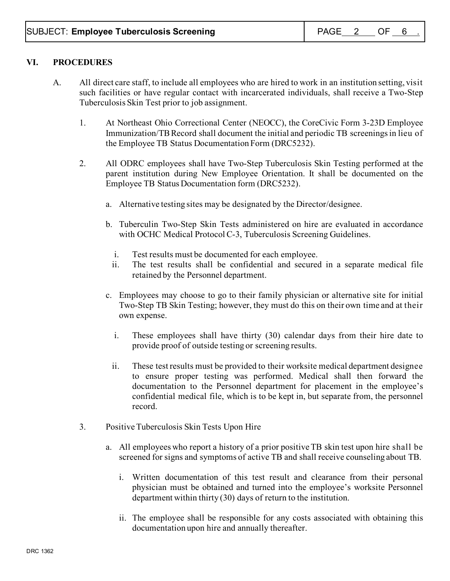### **VI. PROCEDURES**

- A. All direct care staff, to include all employees who are hired to work in an institution setting, visit such facilities or have regular contact with incarcerated individuals, shall receive a Two-Step Tuberculosis Skin Test prior to job assignment.
	- 1. At Northeast Ohio Correctional Center (NEOCC), the CoreCivic Form 3-23D Employee Immunization/TB Record shall document the initial and periodic TB screenings in lieu of the Employee TB Status Documentation Form (DRC5232).
	- 2. All ODRC employees shall have Two-Step Tuberculosis Skin Testing performed at the parent institution during New Employee Orientation. It shall be documented on the Employee TB Status Documentation form (DRC5232).
		- a. Alternative testing sites may be designated by the Director/designee.
		- b. Tuberculin Two-Step Skin Tests administered on hire are evaluated in accordance with OCHC Medical Protocol C-3, Tuberculosis Screening Guidelines.
			- i. Test results must be documented for each employee.
			- ii. The test results shall be confidential and secured in a separate medical file retained by the Personnel department.
		- c. Employees may choose to go to their family physician or alternative site for initial Two-Step TB Skin Testing; however, they must do this on their own time and at their own expense.
			- i. These employees shall have thirty (30) calendar days from their hire date to provide proof of outside testing or screening results.
			- ii. These test results must be provided to their worksite medical department designee to ensure proper testing was performed. Medical shall then forward the documentation to the Personnel department for placement in the employee's confidential medical file, which is to be kept in, but separate from, the personnel record.
	- 3. Positive Tuberculosis Skin Tests Upon Hire
		- a. All employees who report a history of a prior positive TB skin test upon hire shall be screened for signs and symptoms of active TB and shall receive counseling about TB.
			- i. Written documentation of this test result and clearance from their personal physician must be obtained and turned into the employee's worksite Personnel department within thirty (30) days of return to the institution.
			- ii. The employee shall be responsible for any costs associated with obtaining this documentation upon hire and annually thereafter.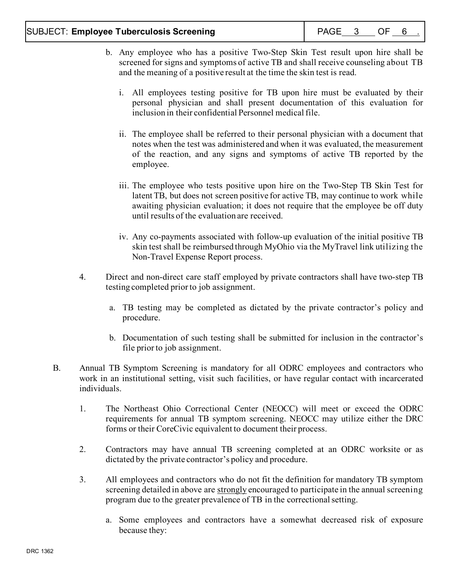- b. Any employee who has a positive Two-Step Skin Test result upon hire shall be screened for signs and symptoms of active TB and shall receive counseling about TB and the meaning of a positive result at the time the skin test is read.
	- i. All employees testing positive for TB upon hire must be evaluated by their personal physician and shall present documentation of this evaluation for inclusion in their confidential Personnel medical file.
	- ii. The employee shall be referred to their personal physician with a document that notes when the test was administered and when it was evaluated, the measurement of the reaction, and any signs and symptoms of active TB reported by the employee.
	- iii. The employee who tests positive upon hire on the Two-Step TB Skin Test for latent TB, but does not screen positive for active TB, may continue to work while awaiting physician evaluation; it does not require that the employee be off duty until results of the evaluation are received.
	- iv. Any co-payments associated with follow-up evaluation of the initial positive TB skin test shall be reimbursed through MyOhio via the MyTravel link utilizing the Non-Travel Expense Report process.
- 4. Direct and non-direct care staff employed by private contractors shall have two-step TB testing completed prior to job assignment.
	- a. TB testing may be completed as dictated by the private contractor's policy and procedure.
	- b. Documentation of such testing shall be submitted for inclusion in the contractor's file prior to job assignment.
- B. Annual TB Symptom Screening is mandatory for all ODRC employees and contractors who work in an institutional setting, visit such facilities, or have regular contact with incarcerated individuals.
	- 1. The Northeast Ohio Correctional Center (NEOCC) will meet or exceed the ODRC requirements for annual TB symptom screening. NEOCC may utilize either the DRC forms or their CoreCivic equivalent to document their process.
	- 2. Contractors may have annual TB screening completed at an ODRC worksite or as dictated by the private contractor's policy and procedure.
	- 3. All employees and contractors who do not fit the definition for mandatory TB symptom screening detailed in above are strongly encouraged to participate in the annual screening program due to the greater prevalence of TB in the correctional setting.
		- a. Some employees and contractors have a somewhat decreased risk of exposure because they: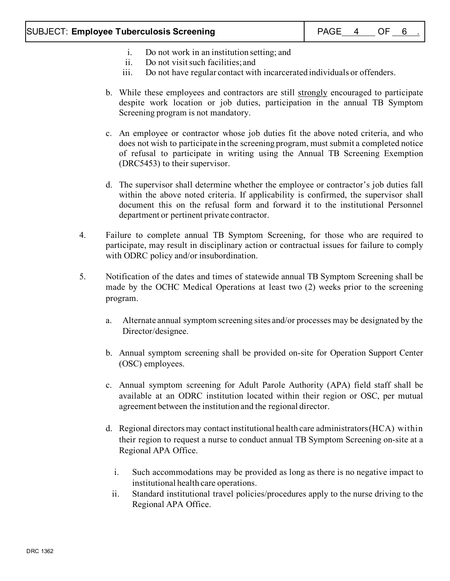- i. Do not work in an institution setting; and
- ii. Do not visit such facilities; and
- iii. Do not have regular contact with incarcerated individuals or offenders.
- b. While these employees and contractors are still strongly encouraged to participate despite work location or job duties, participation in the annual TB Symptom Screening program is not mandatory.
- c. An employee or contractor whose job duties fit the above noted criteria, and who does not wish to participate in the screening program, must submit a completed notice of refusal to participate in writing using the Annual TB Screening Exemption (DRC5453) to their supervisor.
- d. The supervisor shall determine whether the employee or contractor's job duties fall within the above noted criteria. If applicability is confirmed, the supervisor shall document this on the refusal form and forward it to the institutional Personnel department or pertinent private contractor.
- 4. Failure to complete annual TB Symptom Screening, for those who are required to participate, may result in disciplinary action or contractual issues for failure to comply with ODRC policy and/or insubordination.
- 5. Notification of the dates and times of statewide annual TB Symptom Screening shall be made by the OCHC Medical Operations at least two (2) weeks prior to the screening program.
	- a. Alternate annual symptom screening sites and/or processes may be designated by the Director/designee.
	- b. Annual symptom screening shall be provided on-site for Operation Support Center (OSC) employees.
	- c. Annual symptom screening for Adult Parole Authority (APA) field staff shall be available at an ODRC institution located within their region or OSC, per mutual agreement between the institution and the regional director.
	- d. Regional directors may contact institutional health care administrators (HCA) within their region to request a nurse to conduct annual TB Symptom Screening on-site at a Regional APA Office.
		- i. Such accommodations may be provided as long as there is no negative impact to institutional health care operations.
		- ii. Standard institutional travel policies/procedures apply to the nurse driving to the Regional APA Office.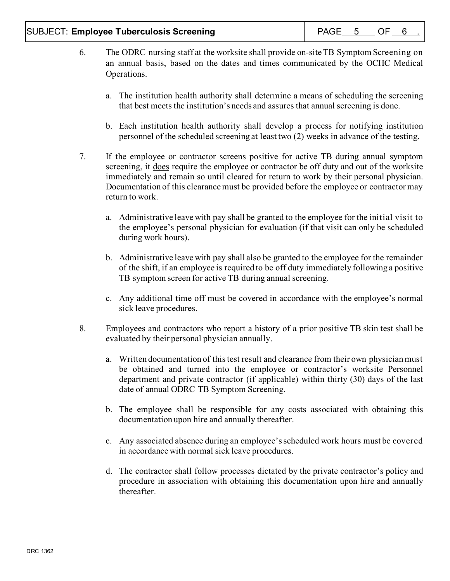- 6. The ODRC nursing staff at the worksite shall provide on-site TB Symptom Screening on an annual basis, based on the dates and times communicated by the OCHC Medical Operations.
	- a. The institution health authority shall determine a means of scheduling the screening that best meets the institution's needs and assures that annual screening is done.
	- b. Each institution health authority shall develop a process for notifying institution personnel of the scheduled screening at least two (2) weeks in advance of the testing.
- 7. If the employee or contractor screens positive for active TB during annual symptom screening, it does require the employee or contractor be off duty and out of the worksite immediately and remain so until cleared for return to work by their personal physician. Documentation of this clearance must be provided before the employee or contractor may return to work.
	- a. Administrative leave with pay shall be granted to the employee for the initial visit to the employee's personal physician for evaluation (if that visit can only be scheduled during work hours).
	- b. Administrative leave with pay shall also be granted to the employee for the remainder of the shift, if an employee is required to be off duty immediately following a positive TB symptom screen for active TB during annual screening.
	- c. Any additional time off must be covered in accordance with the employee's normal sick leave procedures.
- 8. Employees and contractors who report a history of a prior positive TB skin test shall be evaluated by their personal physician annually.
	- a. Written documentation of this test result and clearance from their own physician must be obtained and turned into the employee or contractor's worksite Personnel department and private contractor (if applicable) within thirty (30) days of the last date of annual ODRC TB Symptom Screening.
	- b. The employee shall be responsible for any costs associated with obtaining this documentation upon hire and annually thereafter.
	- c. Any associated absence during an employee's scheduled work hours must be covered in accordance with normal sick leave procedures.
	- d. The contractor shall follow processes dictated by the private contractor's policy and procedure in association with obtaining this documentation upon hire and annually thereafter.